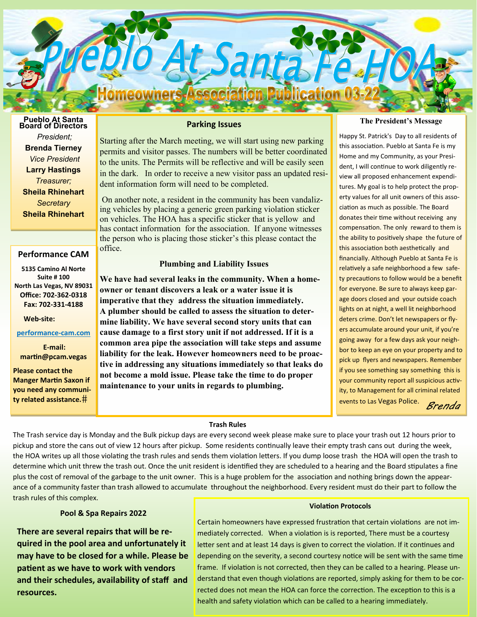

# **Pueblo At Santa Board of Directors**  *President;*  **Brenda Tierney**  *Vice President*  **Larry Hastings**  *Treasurer;*  **Sheila Rhinehart** *Secretary*  **Sheila Rhinehart**

## **Performance CAM**

**5135 Camino Al Norte Suite # 100 North Las Vegas, NV 89031 Office: 702‐362‐0318 Fax: 702‐331‐4188** 

#### **Web‐site:**

### **performance‐cam.com**

**E‐mail: marƟn@pcam.vegas** 

**Please contact the Manger Martin Saxon if you need any communi‐ ty related assistance.**

# **Parking Issues**

Starting after the March meeting, we will start using new parking permits and visitor passes. The numbers will be better coordinated to the units. The Permits will be reflective and will be easily seen in the dark. In order to receive a new visitor pass an updated resident information form will need to be completed.

 On another note, a resident in the community has been vandalizing vehicles by placing a generic green parking violation sticker on vehicles. The HOA has a specific sticker that is yellow and has contact information for the association. If anyone witnesses the person who is placing those sticker's this please contact the office.

### **Plumbing and Liability Issues**

**We have had several leaks in the community. When a homeowner or tenant discovers a leak or a water issue it is imperative that they address the situation immediately. A plumber should be called to assess the situation to determine liability. We have several second story units that can cause damage to a first story unit if not addressed. If it is a common area pipe the association will take steps and assume liability for the leak. However homeowners need to be proactive in addressing any situations immediately so that leaks do not become a mold issue. Please take the time to do proper maintenance to your units in regards to plumbing.** 

#### **The President's Message**

Happy St. Patrick's Day to all residents of this association. Pueblo at Santa Fe is my Home and my Community, as your President, I will continue to work diligently review all proposed enhancement expenditures. My goal is to help protect the property values for all unit owners of this association as much as possible. The Board donates their time without receiving any compensation. The only reward to them is the ability to positively shape the future of this association both aesthetically and financially. Although Pueblo at Santa Fe is relatively a safe neighborhood a few safety precautions to follow would be a benefit for everyone. Be sure to always keep garage doors closed and your outside coach lights on at night, a well lit neighborhood deters crime. Don't let newspapers or flyers accumulate around your unit, if you're going away for a few days ask your neighbor to keep an eye on your property and to pick up flyers and newspapers. Remember if you see something say something this is your community report all suspicious activity, to Management for all criminal related events to Las Vegas Police. *Brenda* 

### **Trash Rules**

The Trash service day is Monday and the Bulk pickup days are every second week please make sure to place your trash out 12 hours prior to pickup and store the cans out of view 12 hours after pickup. Some residents continually leave their empty trash cans out during the week, the HOA writes up all those violating the trash rules and sends them violation letters. If you dump loose trash the HOA will open the trash to determine which unit threw the trash out. Once the unit resident is identified they are scheduled to a hearing and the Board stipulates a fine plus the cost of removal of the garbage to the unit owner. This is a huge problem for the association and nothing brings down the appearance of a community faster than trash allowed to accumulate throughout the neighborhood. Every resident must do their part to follow the trash rules of this complex.

### **Pool & Spa Repairs 2022**

**There are several repairs that will be re‐ quired in the pool area and unfortunately it may have to be closed for a while. Please be paƟent as we have to work with vendors and their schedules, availability of staff and resources.** 

#### **ViolaƟon Protocols**

Certain homeowners have expressed frustration that certain violations are not immediately corrected. When a violation is is reported, There must be a courtesy letter sent and at least 14 days is given to correct the violation. If it continues and depending on the severity, a second courtesy notice will be sent with the same time frame. If violation is not corrected, then they can be called to a hearing. Please understand that even though violations are reported, simply asking for them to be corrected does not mean the HOA can force the correction. The exception to this is a health and safety violation which can be called to a hearing immediately.